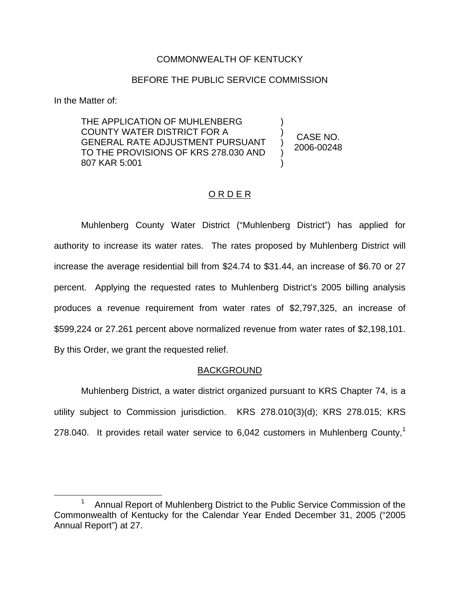### COMMONWEALTH OF KENTUCKY

### BEFORE THE PUBLIC SERVICE COMMISSION

In the Matter of:

THE APPLICATION OF MUHLENBERG COUNTY WATER DISTRICT FOR A GENERAL RATE ADJUSTMENT PURSUANT TO THE PROVISIONS OF KRS 278.030 AND 807 KAR 5:001

CASE NO. 2006-00248

) ) ) ) )

## ORDER

Muhlenberg County Water District ("Muhlenberg District") has applied for authority to increase its water rates. The rates proposed by Muhlenberg District will increase the average residential bill from \$24.74 to \$31.44, an increase of \$6.70 or 27 percent. Applying the requested rates to Muhlenberg District's 2005 billing analysis produces a revenue requirement from water rates of \$2,797,325, an increase of \$599,224 or 27.261 percent above normalized revenue from water rates of \$2,198,101. By this Order, we grant the requested relief.

#### BACKGROUND

Muhlenberg District, a water district organized pursuant to KRS Chapter 74, is a utility subject to Commission jurisdiction. KRS 278.010(3)(d); KRS 278.015; KRS 278.040. It provides retail water service to  $6,042$  customers in Muhlenberg County.<sup>1</sup>

<sup>&</sup>lt;sup>1</sup> Annual Report of Muhlenberg District to the Public Service Commission of the Commonwealth of Kentucky for the Calendar Year Ended December 31, 2005 ("2005 Annual Report") at 27.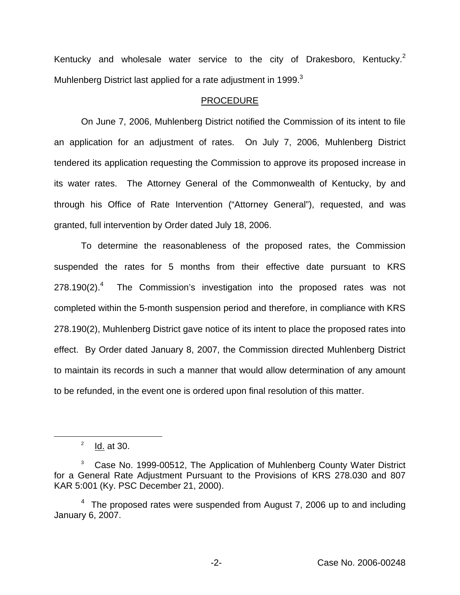Kentucky and wholesale water service to the city of Drakesboro, Kentucky.<sup>2</sup> Muhlenberg District last applied for a rate adjustment in 1999. $3$ 

#### PROCEDURE

On June 7, 2006, Muhlenberg District notified the Commission of its intent to file an application for an adjustment of rates. On July 7, 2006, Muhlenberg District tendered its application requesting the Commission to approve its proposed increase in its water rates. The Attorney General of the Commonwealth of Kentucky, by and through his Office of Rate Intervention ("Attorney General"), requested, and was granted, full intervention by Order dated July 18, 2006.

To determine the reasonableness of the proposed rates, the Commission suspended the rates for 5 months from their effective date pursuant to KRS  $278.190(2).<sup>4</sup>$  The Commission's investigation into the proposed rates was not completed within the 5-month suspension period and therefore, in compliance with KRS 278.190(2), Muhlenberg District gave notice of its intent to place the proposed rates into effect. By Order dated January 8, 2007, the Commission directed Muhlenberg District to maintain its records in such a manner that would allow determination of any amount to be refunded, in the event one is ordered upon final resolution of this matter.

 $2$  Id. at 30.

<sup>&</sup>lt;sup>3</sup> Case No. 1999-00512, The Application of Muhlenberg County Water District for a General Rate Adjustment Pursuant to the Provisions of KRS 278.030 and 807 KAR 5:001 (Ky. PSC December 21, 2000).

 $4$  The proposed rates were suspended from August 7, 2006 up to and including January 6, 2007.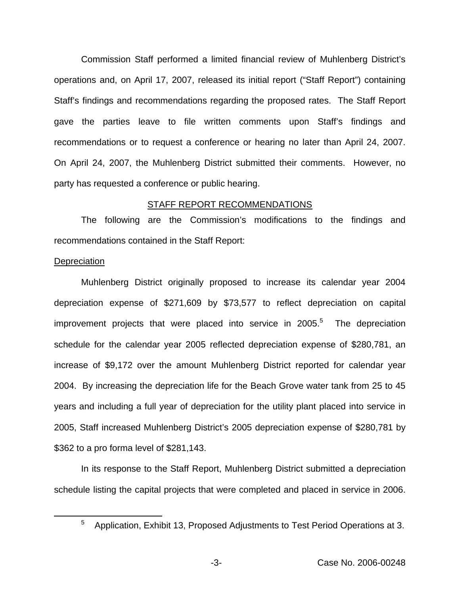Commission Staff performed a limited financial review of Muhlenberg District's operations and, on April 17, 2007, released its initial report ("Staff Report") containing Staff's findings and recommendations regarding the proposed rates. The Staff Report gave the parties leave to file written comments upon Staff's findings and recommendations or to request a conference or hearing no later than April 24, 2007. On April 24, 2007, the Muhlenberg District submitted their comments. However, no party has requested a conference or public hearing.

#### STAFF REPORT RECOMMENDATIONS

The following are the Commission's modifications to the findings and recommendations contained in the Staff Report:

#### **Depreciation**

Muhlenberg District originally proposed to increase its calendar year 2004 depreciation expense of \$271,609 by \$73,577 to reflect depreciation on capital improvement projects that were placed into service in  $2005<sup>5</sup>$  The depreciation schedule for the calendar year 2005 reflected depreciation expense of \$280,781, an increase of \$9,172 over the amount Muhlenberg District reported for calendar year 2004. By increasing the depreciation life for the Beach Grove water tank from 25 to 45 years and including a full year of depreciation for the utility plant placed into service in 2005, Staff increased Muhlenberg District's 2005 depreciation expense of \$280,781 by \$362 to a pro forma level of \$281,143.

In its response to the Staff Report, Muhlenberg District submitted a depreciation schedule listing the capital projects that were completed and placed in service in 2006.

 $5$  Application, Exhibit 13, Proposed Adjustments to Test Period Operations at 3.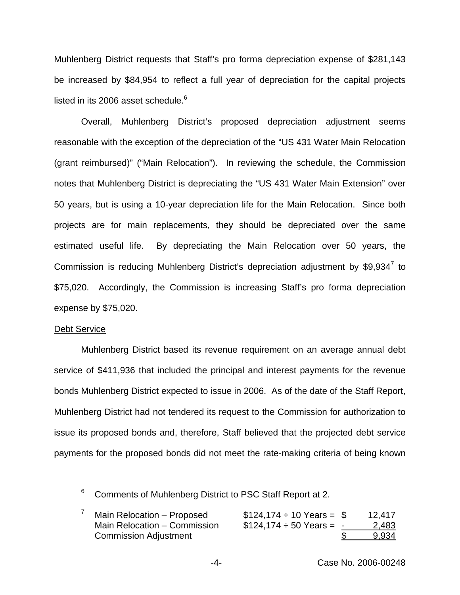Muhlenberg District requests that Staff's pro forma depreciation expense of \$281,143 be increased by \$84,954 to reflect a full year of depreciation for the capital projects listed in its 2006 asset schedule. $6$ 

Overall, Muhlenberg District's proposed depreciation adjustment seems reasonable with the exception of the depreciation of the "US 431 Water Main Relocation (grant reimbursed)" ("Main Relocation"). In reviewing the schedule, the Commission notes that Muhlenberg District is depreciating the "US 431 Water Main Extension" over 50 years, but is using a 10-year depreciation life for the Main Relocation. Since both projects are for main replacements, they should be depreciated over the same estimated useful life. By depreciating the Main Relocation over 50 years, the Commission is reducing Muhlenberg District's depreciation adjustment by  $$9,934^7$  to \$75,020. Accordingly, the Commission is increasing Staff's pro forma depreciation expense by \$75,020.

#### Debt Service

Muhlenberg District based its revenue requirement on an average annual debt service of \$411,936 that included the principal and interest payments for the revenue bonds Muhlenberg District expected to issue in 2006. As of the date of the Staff Report, Muhlenberg District had not tendered its request to the Commission for authorization to issue its proposed bonds and, therefore, Staff believed that the projected debt service payments for the proposed bonds did not meet the rate-making criteria of being known

<sup>6</sup> Comments of Muhlenberg District to PSC Staff Report at 2.

| Main Relocation - Proposed   | $$124,174 \div 10 \text{ Years} = $$ | 12,417 |
|------------------------------|--------------------------------------|--------|
| Main Relocation - Commission | $$124,174 \div 50$ Years = -         | 2,483  |
| <b>Commission Adjustment</b> |                                      | 9,934  |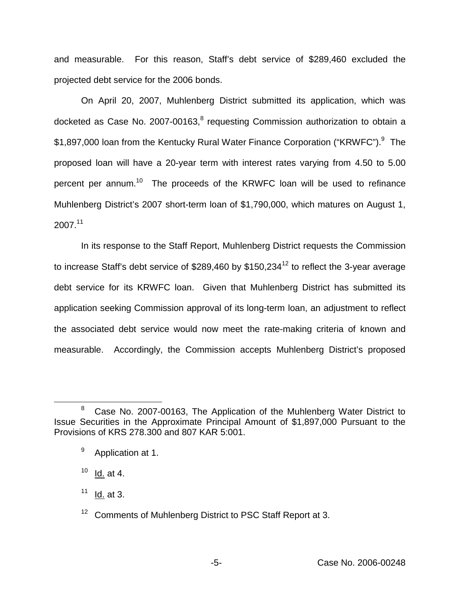and measurable. For this reason, Staff's debt service of \$289,460 excluded the projected debt service for the 2006 bonds.

On April 20, 2007, Muhlenberg District submitted its application, which was docketed as Case No. 2007-00163,<sup>8</sup> requesting Commission authorization to obtain a \$1,897,000 loan from the Kentucky Rural Water Finance Corporation ("KRWFC").<sup>9</sup> The proposed loan will have a 20-year term with interest rates varying from 4.50 to 5.00 percent per annum.10 The proceeds of the KRWFC loan will be used to refinance Muhlenberg District's 2007 short-term loan of \$1,790,000, which matures on August 1, 2007.11

In its response to the Staff Report, Muhlenberg District requests the Commission to increase Staff's debt service of \$289,460 by \$150,234<sup>12</sup> to reflect the 3-year average debt service for its KRWFC loan. Given that Muhlenberg District has submitted its application seeking Commission approval of its long-term loan, an adjustment to reflect the associated debt service would now meet the rate-making criteria of known and measurable. Accordingly, the Commission accepts Muhlenberg District's proposed

 $10$  Id. at 4.

 $11$  Id. at 3.

<sup>&</sup>lt;sup>8</sup> Case No. 2007-00163, The Application of the Muhlenberg Water District to Issue Securities in the Approximate Principal Amount of \$1,897,000 Pursuant to the Provisions of KRS 278.300 and 807 KAR 5:001.

<sup>&</sup>lt;sup>9</sup> Application at 1.

<sup>&</sup>lt;sup>12</sup> Comments of Muhlenberg District to PSC Staff Report at 3.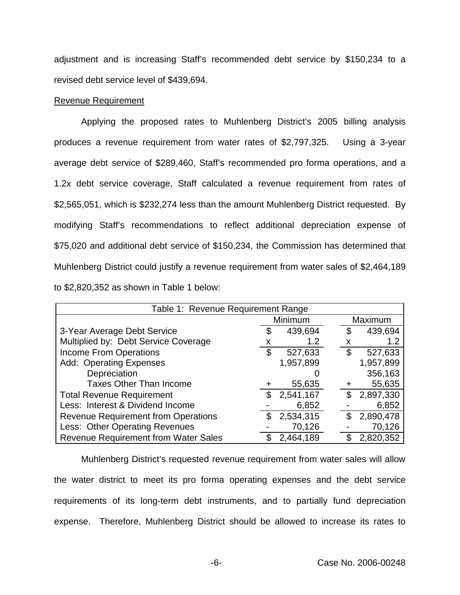adjustment and is increasing Staff's recommended debt service by \$150,234 to a revised debt service level of \$439,694.

#### Revenue Requirement

Applying the proposed rates to Muhlenberg District's 2005 billing analysis produces a revenue requirement from water rates of \$2,797,325. Using a 3-year average debt service of \$289,460, Staff's recommended pro forma operations, and a 1.2x debt service coverage, Staff calculated a revenue requirement from rates of \$2,565,051, which is \$232,274 less than the amount Muhlenberg District requested. By modifying Staff's recommendations to reflect additional depreciation expense of \$75,020 and additional debt service of \$150,234, the Commission has determined that Muhlenberg District could justify a revenue requirement from water sales of \$2,464,189 to \$2,820,352 as shown in Table 1 below:

| Table 1: Revenue Requirement Range          |              |           |    |           |  |  |
|---------------------------------------------|--------------|-----------|----|-----------|--|--|
|                                             | Minimum      |           |    | Maximum   |  |  |
| 3-Year Average Debt Service                 |              | 439,694   | \$ | 439,694   |  |  |
| Multiplied by: Debt Service Coverage        |              | 1.2       | x  | 1.2       |  |  |
| <b>Income From Operations</b>               | \$           | 527,633   | \$ | 527,633   |  |  |
| <b>Add: Operating Expenses</b>              |              | 1,957,899 |    | 1,957,899 |  |  |
| Depreciation                                |              |           |    | 356,163   |  |  |
| <b>Taxes Other Than Income</b>              |              | 55,635    |    | 55,635    |  |  |
| <b>Total Revenue Requirement</b>            | $\mathbb{S}$ | 2,541,167 | \$ | 2,897,330 |  |  |
| Less: Interest & Dividend Income            |              | 6,852     |    | 6,852     |  |  |
| <b>Revenue Requirement from Operations</b>  | S            | 2,534,315 | S  | 2,890,478 |  |  |
| Less: Other Operating Revenues              |              | 70,126    |    | 70,126    |  |  |
| <b>Revenue Requirement from Water Sales</b> |              | 2,464,189 |    | 2,820,352 |  |  |

Muhlenberg District's requested revenue requirement from water sales will allow the water district to meet its pro forma operating expenses and the debt service requirements of its long-term debt instruments, and to partially fund depreciation expense. Therefore, Muhlenberg District should be allowed to increase its rates to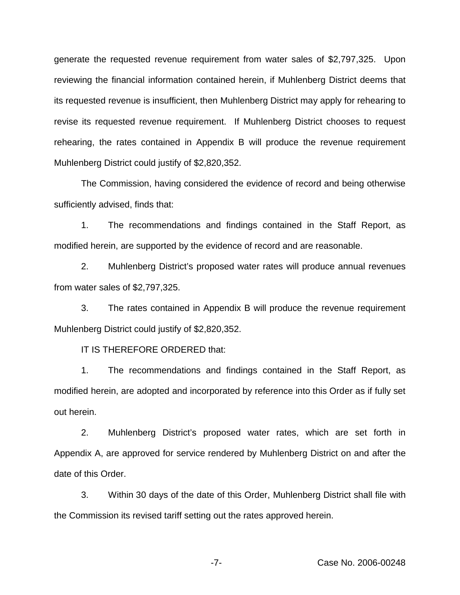generate the requested revenue requirement from water sales of \$2,797,325. Upon reviewing the financial information contained herein, if Muhlenberg District deems that its requested revenue is insufficient, then Muhlenberg District may apply for rehearing to revise its requested revenue requirement. If Muhlenberg District chooses to request rehearing, the rates contained in Appendix B will produce the revenue requirement Muhlenberg District could justify of \$2,820,352.

The Commission, having considered the evidence of record and being otherwise sufficiently advised, finds that:

1. The recommendations and findings contained in the Staff Report, as modified herein, are supported by the evidence of record and are reasonable.

2. Muhlenberg District's proposed water rates will produce annual revenues from water sales of \$2,797,325.

3. The rates contained in Appendix B will produce the revenue requirement Muhlenberg District could justify of \$2,820,352.

IT IS THEREFORE ORDERED that:

1. The recommendations and findings contained in the Staff Report, as modified herein, are adopted and incorporated by reference into this Order as if fully set out herein.

2. Muhlenberg District's proposed water rates, which are set forth in Appendix A, are approved for service rendered by Muhlenberg District on and after the date of this Order.

3. Within 30 days of the date of this Order, Muhlenberg District shall file with the Commission its revised tariff setting out the rates approved herein.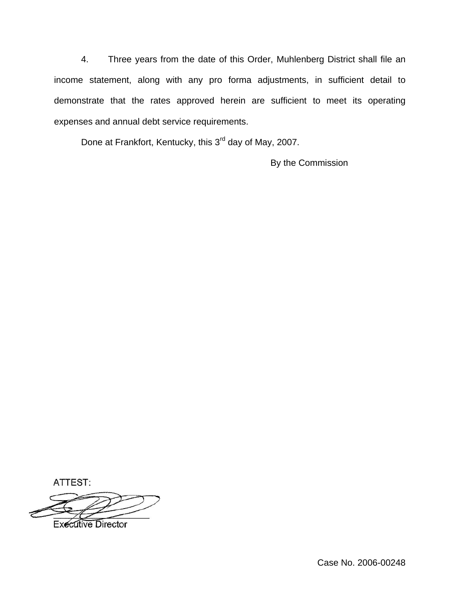4. Three years from the date of this Order, Muhlenberg District shall file an income statement, along with any pro forma adjustments, in sufficient detail to demonstrate that the rates approved herein are sufficient to meet its operating expenses and annual debt service requirements.

Done at Frankfort, Kentucky, this 3<sup>rd</sup> day of May, 2007.

By the Commission

ATTEST:

**Executive Director**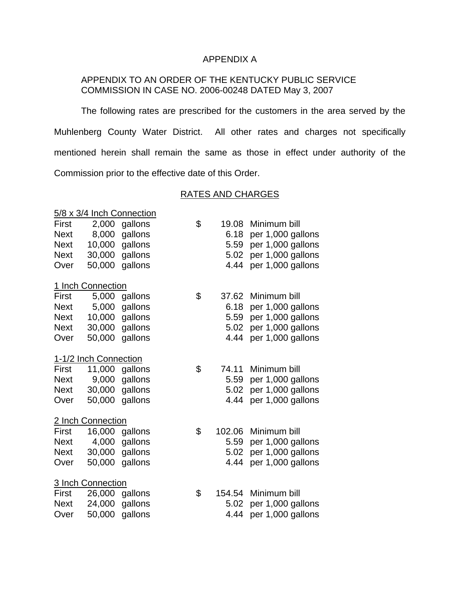## APPENDIX A

## APPENDIX TO AN ORDER OF THE KENTUCKY PUBLIC SERVICE COMMISSION IN CASE NO. 2006-00248 DATED May 3, 2007

The following rates are prescribed for the customers in the area served by the Muhlenberg County Water District. All other rates and charges not specifically mentioned herein shall remain the same as those in effect under authority of the Commission prior to the effective date of this Order.

#### RATES AND CHARGES

| 5/8 x 3/4 Inch Connection |                       |                |    |        |                   |  |  |
|---------------------------|-----------------------|----------------|----|--------|-------------------|--|--|
| First                     | 2,000                 | gallons        | \$ | 19.08  | Minimum bill      |  |  |
| <b>Next</b>               | 8,000                 | gallons        |    | 6.18   | per 1,000 gallons |  |  |
| <b>Next</b>               | 10,000                | gallons        |    | 5.59   | per 1,000 gallons |  |  |
| <b>Next</b>               | 30,000                | gallons        |    | 5.02   | per 1,000 gallons |  |  |
| Over                      | 50,000                | gallons        |    | 4.44   | per 1,000 gallons |  |  |
|                           | 1 Inch Connection     |                |    |        |                   |  |  |
| First                     | 5,000                 | gallons        | \$ | 37.62  | Minimum bill      |  |  |
| <b>Next</b>               | 5,000                 | gallons        |    | 6.18   | per 1,000 gallons |  |  |
| <b>Next</b>               | 10,000                | gallons        |    | 5.59   | per 1,000 gallons |  |  |
| <b>Next</b>               | 30,000                | gallons        |    | 5.02   | per 1,000 gallons |  |  |
| Over                      | 50,000                | gallons        |    | 4.44   | per 1,000 gallons |  |  |
|                           | 1-1/2 Inch Connection |                |    |        |                   |  |  |
| First                     | 11,000                | gallons        | \$ | 74.11  | Minimum bill      |  |  |
| <b>Next</b>               | 9,000                 | gallons        |    | 5.59   | per 1,000 gallons |  |  |
| <b>Next</b>               | 30,000                | gallons        |    | 5.02   | per 1,000 gallons |  |  |
| Over                      | 50,000                | gallons        |    | 4.44   | per 1,000 gallons |  |  |
| 2 Inch Connection         |                       |                |    |        |                   |  |  |
| First                     | 16,000                | gallons        | \$ | 102.06 | Minimum bill      |  |  |
| <b>Next</b>               | 4,000                 | gallons        |    | 5.59   | per 1,000 gallons |  |  |
| <b>Next</b>               | 30,000                | gallons        |    | 5.02   | per 1,000 gallons |  |  |
| Over                      | 50,000                | gallons        |    | 4.44   | per 1,000 gallons |  |  |
| 3 Inch Connection         |                       |                |    |        |                   |  |  |
| <b>First</b>              |                       | 26,000 gallons | \$ | 154.54 | Minimum bill      |  |  |
| <b>Next</b>               | 24,000                | gallons        |    | 5.02   | per 1,000 gallons |  |  |
| Over                      | 50,000                | gallons        |    | 4.44   | per 1,000 gallons |  |  |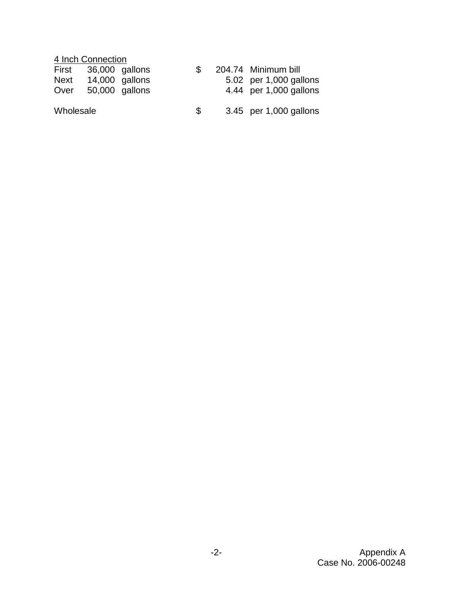# 4 Inch Connection

| First | 36,000 gallons |  | 204.74 Minimum bill    |
|-------|----------------|--|------------------------|
| Next  | 14,000 gallons |  | 5.02 per 1,000 gallons |
| Over  | 50,000 gallons |  | 4.44 per 1,000 gallons |
|       |                |  |                        |

Wholesale  $$3.45$  per 1,000 gallons